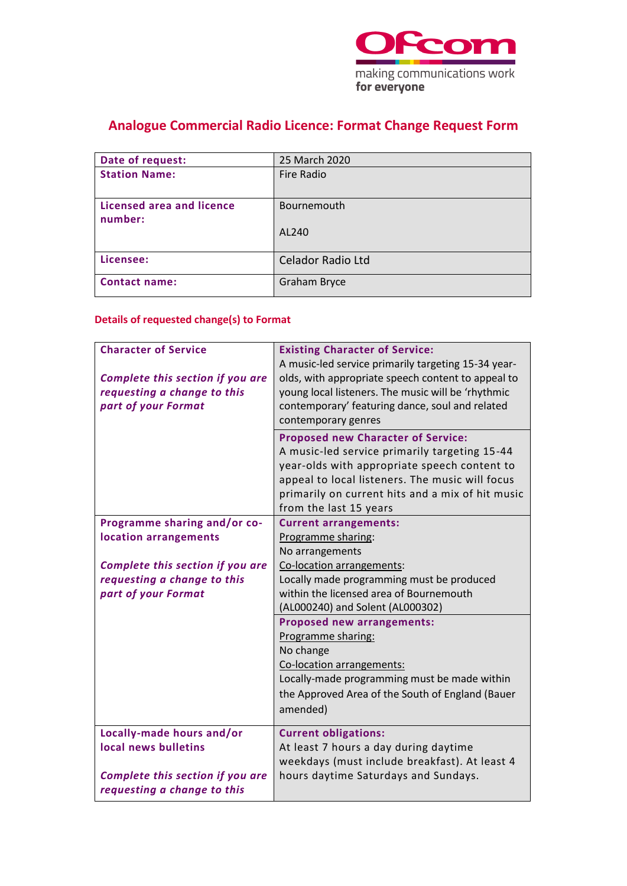

## **Analogue Commercial Radio Licence: Format Change Request Form**

| Date of request:                            | 25 March 2020            |
|---------------------------------------------|--------------------------|
| <b>Station Name:</b>                        | Fire Radio               |
| <b>Licensed area and licence</b><br>number: | Bournemouth              |
|                                             | AL240                    |
| Licensee:                                   | <b>Celador Radio Ltd</b> |
| <b>Contact name:</b>                        | Graham Bryce             |

## **Details of requested change(s) to Format**

| <b>Character of Service</b>                                                            | <b>Existing Character of Service:</b>                                                                                                                                                                                                                                       |
|----------------------------------------------------------------------------------------|-----------------------------------------------------------------------------------------------------------------------------------------------------------------------------------------------------------------------------------------------------------------------------|
| Complete this section if you are<br>requesting a change to this<br>part of your Format | A music-led service primarily targeting 15-34 year-<br>olds, with appropriate speech content to appeal to<br>young local listeners. The music will be 'rhythmic<br>contemporary' featuring dance, soul and related<br>contemporary genres                                   |
|                                                                                        | <b>Proposed new Character of Service:</b><br>A music-led service primarily targeting 15-44<br>year-olds with appropriate speech content to<br>appeal to local listeners. The music will focus<br>primarily on current hits and a mix of hit music<br>from the last 15 years |
| Programme sharing and/or co-                                                           | <b>Current arrangements:</b>                                                                                                                                                                                                                                                |
| location arrangements                                                                  | Programme sharing:                                                                                                                                                                                                                                                          |
|                                                                                        | No arrangements                                                                                                                                                                                                                                                             |
| Complete this section if you are                                                       | Co-location arrangements:                                                                                                                                                                                                                                                   |
| requesting a change to this                                                            | Locally made programming must be produced                                                                                                                                                                                                                                   |
| part of your Format                                                                    | within the licensed area of Bournemouth                                                                                                                                                                                                                                     |
|                                                                                        | (AL000240) and Solent (AL000302)                                                                                                                                                                                                                                            |
|                                                                                        | <b>Proposed new arrangements:</b>                                                                                                                                                                                                                                           |
|                                                                                        | Programme sharing:                                                                                                                                                                                                                                                          |
|                                                                                        | No change                                                                                                                                                                                                                                                                   |
|                                                                                        | Co-location arrangements:                                                                                                                                                                                                                                                   |
|                                                                                        | Locally-made programming must be made within                                                                                                                                                                                                                                |
|                                                                                        | the Approved Area of the South of England (Bauer                                                                                                                                                                                                                            |
|                                                                                        | amended)                                                                                                                                                                                                                                                                    |
| Locally-made hours and/or                                                              | <b>Current obligations:</b>                                                                                                                                                                                                                                                 |
| local news bulletins                                                                   | At least 7 hours a day during daytime                                                                                                                                                                                                                                       |
|                                                                                        | weekdays (must include breakfast). At least 4                                                                                                                                                                                                                               |
| Complete this section if you are                                                       | hours daytime Saturdays and Sundays.                                                                                                                                                                                                                                        |
| requesting a change to this                                                            |                                                                                                                                                                                                                                                                             |
|                                                                                        |                                                                                                                                                                                                                                                                             |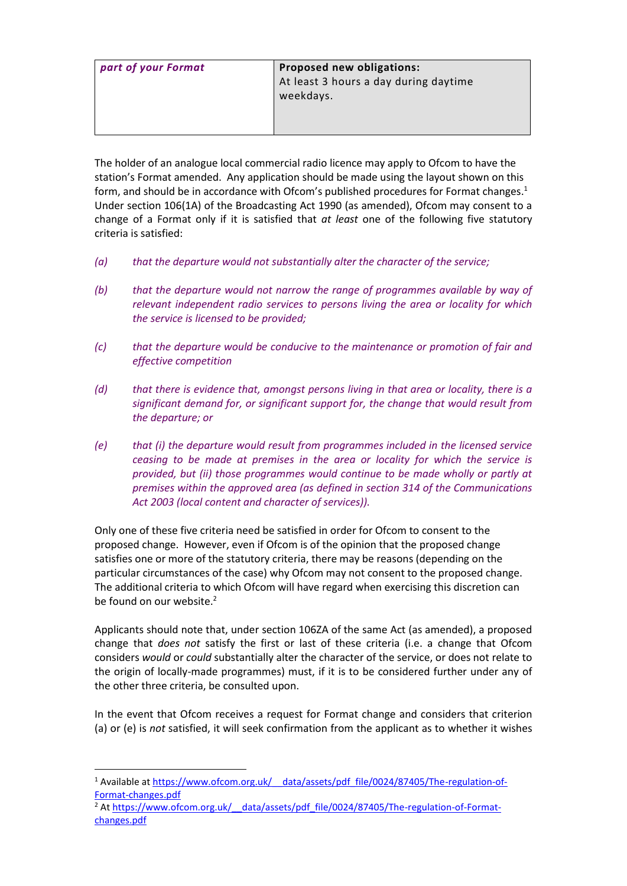| part of your Format | <b>Proposed new obligations:</b><br>At least 3 hours a day during daytime<br>weekdays. |
|---------------------|----------------------------------------------------------------------------------------|
|                     |                                                                                        |

The holder of an analogue local commercial radio licence may apply to Ofcom to have the station's Format amended. Any application should be made using the layout shown on this form, and should be in accordance with Ofcom's published procedures for Format changes. 1 Under section 106(1A) of the Broadcasting Act 1990 (as amended), Ofcom may consent to a change of a Format only if it is satisfied that *at least* one of the following five statutory criteria is satisfied:

- *(a) that the departure would not substantially alter the character of the service;*
- *(b) that the departure would not narrow the range of programmes available by way of relevant independent radio services to persons living the area or locality for which the service is licensed to be provided;*
- *(c) that the departure would be conducive to the maintenance or promotion of fair and effective competition*
- *(d) that there is evidence that, amongst persons living in that area or locality, there is a significant demand for, or significant support for, the change that would result from the departure; or*
- *(e) that (i) the departure would result from programmes included in the licensed service ceasing to be made at premises in the area or locality for which the service is provided, but (ii) those programmes would continue to be made wholly or partly at premises within the approved area (as defined in section 314 of the Communications Act 2003 (local content and character of services)).*

Only one of these five criteria need be satisfied in order for Ofcom to consent to the proposed change. However, even if Ofcom is of the opinion that the proposed change satisfies one or more of the statutory criteria, there may be reasons (depending on the particular circumstances of the case) why Ofcom may not consent to the proposed change. The additional criteria to which Ofcom will have regard when exercising this discretion can be found on our website.<sup>2</sup>

Applicants should note that, under section 106ZA of the same Act (as amended), a proposed change that *does not* satisfy the first or last of these criteria (i.e. a change that Ofcom considers *would* or *could* substantially alter the character of the service, or does not relate to the origin of locally-made programmes) must, if it is to be considered further under any of the other three criteria, be consulted upon.

In the event that Ofcom receives a request for Format change and considers that criterion (a) or (e) is *not* satisfied, it will seek confirmation from the applicant as to whether it wishes

<sup>&</sup>lt;sup>1</sup> Available at https://www.ofcom.org.uk/ data/assets/pdf file/0024/87405/The-regulation-of-[Format-changes.pdf](https://www.ofcom.org.uk/__data/assets/pdf_file/0024/87405/The-regulation-of-Format-changes.pdf)

<sup>&</sup>lt;sup>2</sup> At https://www.ofcom.org.uk/ data/assets/pdf\_file/0024/87405/The-regulation-of-Format[changes.pdf](https://www.ofcom.org.uk/__data/assets/pdf_file/0024/87405/The-regulation-of-Format-changes.pdf)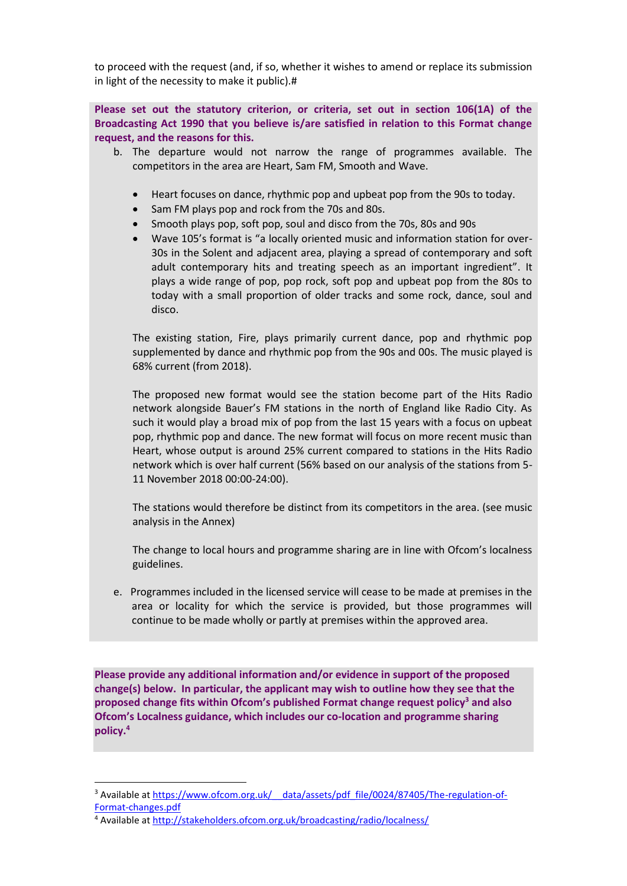to proceed with the request (and, if so, whether it wishes to amend or replace its submission in light of the necessity to make it public).#

**Please set out the statutory criterion, or criteria, set out in section 106(1A) of the Broadcasting Act 1990 that you believe is/are satisfied in relation to this Format change request, and the reasons for this.**

- b. The departure would not narrow the range of programmes available. The competitors in the area are Heart, Sam FM, Smooth and Wave.
	- Heart focuses on dance, rhythmic pop and upbeat pop from the 90s to today.
	- Sam FM plays pop and rock from the 70s and 80s.
	- Smooth plays pop, soft pop, soul and disco from the 70s, 80s and 90s
	- Wave 105's format is "a locally oriented music and information station for over-30s in the Solent and adjacent area, playing a spread of contemporary and soft adult contemporary hits and treating speech as an important ingredient". It plays a wide range of pop, pop rock, soft pop and upbeat pop from the 80s to today with a small proportion of older tracks and some rock, dance, soul and disco.

The existing station, Fire, plays primarily current dance, pop and rhythmic pop supplemented by dance and rhythmic pop from the 90s and 00s. The music played is 68% current (from 2018).

The proposed new format would see the station become part of the Hits Radio network alongside Bauer's FM stations in the north of England like Radio City. As such it would play a broad mix of pop from the last 15 years with a focus on upbeat pop, rhythmic pop and dance. The new format will focus on more recent music than Heart, whose output is around 25% current compared to stations in the Hits Radio network which is over half current (56% based on our analysis of the stations from 5- 11 November 2018 00:00-24:00).

The stations would therefore be distinct from its competitors in the area. (see music analysis in the Annex)

The change to local hours and programme sharing are in line with Ofcom's localness guidelines.

e. Programmes included in the licensed service will cease to be made at premises in the area or locality for which the service is provided, but those programmes will continue to be made wholly or partly at premises within the approved area.

**Please provide any additional information and/or evidence in support of the proposed change(s) below. In particular, the applicant may wish to outline how they see that the proposed change fits within Ofcom's published Format change request policy<sup>3</sup> and also Ofcom's Localness guidance, which includes our co-location and programme sharing policy. 4**

<sup>&</sup>lt;sup>3</sup> Available at https://www.ofcom.org.uk/ data/assets/pdf\_file/0024/87405/The-regulation-of-[Format-changes.pdf](https://www.ofcom.org.uk/__data/assets/pdf_file/0024/87405/The-regulation-of-Format-changes.pdf)

<sup>4</sup> Available at<http://stakeholders.ofcom.org.uk/broadcasting/radio/localness/>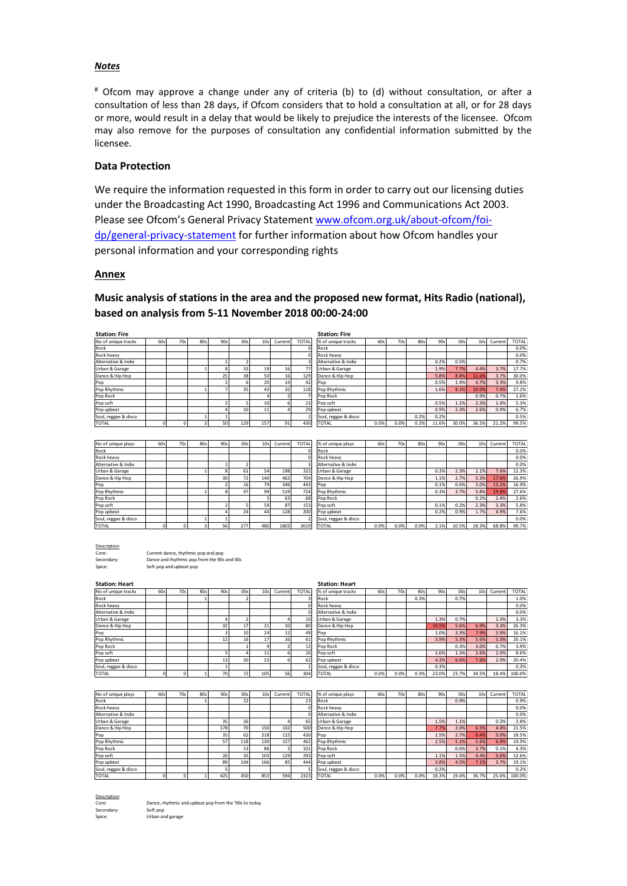### *Notes*

# Ofcom may approve a change under any of criteria (b) to (d) without consultation, or after a consultation of less than 28 days, if Ofcom considers that to hold a consultation at all, or for 28 days or more, would result in a delay that would be likely to prejudice the interests of the licensee. Ofcom may also remove for the purposes of consultation any confidential information submitted by the licensee.

### **Data Protection**

We require the information requested in this form in order to carry out our licensing duties under the Broadcasting Act 1990, Broadcasting Act 1996 and Communications Act 2003. Please see Ofcom's General Privacy Statement [www.ofcom.org.uk/about-ofcom/foi](http://www.ofcom.org.uk/about-ofcom/foi-dp/general-privacy-statement)[dp/general-privacy-statement](http://www.ofcom.org.uk/about-ofcom/foi-dp/general-privacy-statement) for further information about how Ofcom handles your personal information and your corresponding rights

### **Annex**

## **Music analysis of stations in the area and the proposed new format, Hits Radio (national), based on analysis from 5-11 November 2018 00:00-24:00**

| <b>Station: Fire</b> |     |     |     |     |                 |                 |         |              | <b>Station: Fire</b> |      |      |      |       |       |                 |         |              |
|----------------------|-----|-----|-----|-----|-----------------|-----------------|---------|--------------|----------------------|------|------|------|-------|-------|-----------------|---------|--------------|
| No of unique tracks  | 60s | 70s | 80s | 90s | 00sl            | 10s1            | Current | <b>TOTAL</b> | % of unique tracks   | 60s  | 70s  | 80s  | 90s   | 00s   | 10 <sub>s</sub> | Current | <b>TOTAL</b> |
| Rock                 |     |     |     |     |                 |                 |         | $\Omega$     | Rock                 |      |      |      |       |       |                 |         | 0.0%         |
| Rock heavy           |     |     |     |     |                 |                 |         | $\Omega$     | Rock heavy           |      |      |      |       |       |                 |         | 0.0%         |
| Alternative & Indie  |     |     |     |     |                 |                 |         |              | Alternative & Indie  |      |      |      | 0.2%  | 0.5%  |                 |         | 0.7%         |
| Urban & Garage       |     |     |     |     | 33              | 19              | 16      | 77           | Urban & Garage       |      |      |      | 1.9%  | 7.7%  | 4.4%            | 3.7%    | 17.7%        |
| Dance & Hip Hop      |     |     |     | 25  | 38              | 50              | 16      | 129          | Dance & Hip Hop      |      |      |      | 5.8%  | 8.8%  | 11.6%           | 3.7%    | 30.0%        |
| Pop                  |     |     |     |     | 61              | 20              | 14      | 42           | Pop                  |      |      |      | 0.5%  | 1.4%  | 4.7%            | 3.3%    | 9.8%         |
| Pop Rhythmic         |     |     |     |     | 35              | 43              | 32      | 118          | Pop Rhythmic         |      |      |      | 1.6%  | 8.1%  | 10.0%           | 7.4%    | 27.2%        |
| Pop Rock             |     |     |     |     |                 |                 |         |              | Pop Rock             |      |      |      |       |       | 0.9%            | 0.7%    | 1.6%         |
| Pop soft             |     |     |     |     |                 | 10              |         | 23           | Pop soft             |      |      |      | 0.5%  | 1.2%  | 2.3%            | 1.4%    | 5.3%         |
| Pop upbeat           |     |     |     |     | 10 <sup>1</sup> | 11 <sub>1</sub> |         | 29           | Pop upbeat           |      |      |      | 0.9%  | 2.3%  | 2.6%            | 0.9%    | 6.7%         |
| Soul, reggae & disco |     |     |     |     |                 |                 |         |              | Soul, reggae & disco |      |      | 0.2% | 0.2%  |       |                 |         | 0.5%         |
| TOTAL                |     |     |     | 50  | 129             | 157             | 91      | 430          | <b>TOTAL</b>         | 0.0% | 0.0% | 0.2% | 11.6% | 30.0% | 36.5%           | 21.2%   | 99.5%        |

| No of unique plays   | 60s | 70s | 80s | 90s | 00s | 10 <sub>s</sub> | Current | <b>TOTAL</b> | % of unique plays    | 60s  | 70s  | 80s  | 90s   | 00s   | 10 <sub>s</sub> | Current | <b>TOTAL</b> |
|----------------------|-----|-----|-----|-----|-----|-----------------|---------|--------------|----------------------|------|------|------|-------|-------|-----------------|---------|--------------|
| Rock                 |     |     |     |     |     |                 |         |              | Rock                 |      |      |      |       |       |                 |         | 0.0%         |
| Rock heavy           |     |     |     |     |     |                 |         |              | Rock heavy           |      |      |      |       |       |                 |         | 0.0%         |
| Alternative & Indie  |     |     |     |     |     |                 |         |              | Alternative & Indie  |      |      |      |       |       |                 |         | 0.0%         |
| Urban & Garage       |     |     |     |     | 61  | 54              | 198     | 322          | Urban & Garage       |      |      |      | 0.3%  | 2.3%  | 2.1%            | 7.6%    | 12.3%        |
| Dance & Hip Hop      |     |     |     | 30  | 72  | 140             | 462     | 704          | Dance & Hip Hop      |      |      |      | 1.1%  | 2.7%  | 5.3%            | 17.6%   | 26.9%        |
| Pop                  |     |     |     |     | 16  | 79              | 346     | 443          | <b>Pop</b>           |      |      |      | 0.1%  | 0.6%  | 3.0%            | 13.2%   | 16.9%        |
| Pop Rhythmic         |     |     |     |     | 97  | 99              | 519     | 724          | Pop Rhythmic         |      |      |      | 0.3%  | 3.7%  | 3.8%            | 19.8%   | 27.6%        |
| Pop Rock             |     |     |     |     |     |                 | 63      | 68           | Pop Rock             |      |      |      |       |       | 0.2%            | 2.4%    | 2.6%         |
| Pop soft             |     |     |     |     |     | 59              | 87      | 153          | Pop soft             |      |      |      | 0.1%  | 0.2%  | 2.3%            | 3.3%    | 5.8%         |
| Pop upbeat           |     |     |     |     | 24  | 44              | 128     | 200          | Pop upbeat           |      |      |      | 0.2%  | 0.9%  | 1.7%            | 4.9%    | 7.6%         |
| Soul, reggae & disco |     |     |     |     |     |                 |         |              | Soul, reggae & disco |      |      |      |       |       |                 |         | 0.0%         |
| <b>TOTAL</b>         |     |     |     | 56  | 777 | 180             | 1802    | 2619         | <b>ITOTAL</b>        | n n% | n n% | n n% | 7.192 | 10.5% | 12 3 %          | 68.8%   | 99.7%        |

| of unique plays    | 60s  | 70s  | 80s  | 90s  | 00s   | 10 <sub>s</sub> | Current | <b>TOTAL</b> |
|--------------------|------|------|------|------|-------|-----------------|---------|--------------|
| ck                 |      |      |      |      |       |                 |         | 0.0%         |
| ck heavy           |      |      |      |      |       |                 |         | 0.0%         |
| ernative & Indie   |      |      |      |      |       |                 |         | 0.0%         |
| ban & Garage       |      |      |      | 0.3% | 2.3%  | 2.1%            | 7.6%    | 12.3%        |
| nce & Hip Hop      |      |      |      | 1.1% | 2.7%  | 5.3%            | 17.6%   | 26.9%        |
| p                  |      |      |      | 0.1% | 0.6%  | 3.0%            | 13.2%   | 16.9%        |
| p Rhythmic         |      |      |      | 0.3% | 3.7%  | 3.8%            | 19.8%   | 27.6%        |
| p Rock             |      |      |      |      |       | 0.2%            | 2.4%    | 2.6%         |
| p soft             |      |      |      | 0.1% | 0.2%  | 2.3%            | 3.3%    | 5.8%         |
| p upbeat           |      |      |      | 0.2% | 0.9%  | 1.7%            | 4.9%    | 7.6%         |
| ul, reggae & disco |      |      |      |      |       |                 |         | 0.0%         |
| TAL                | 0.0% | 0.0% | 0.0% | 2.1% | 10.5% | 18.3%           | 68.8%   | 99.7%        |

Description

Core: Current dance, rhythmic pop and pop<br>
Secondary: Dance and rhythmic pop from the 90 Secondary: Dance and rhythmic pop from the 90s and 00s Spice: Soft pop and upbeat pop

| <b>Station: Heart</b> |        |        |     |     |                 |                 |                 |                 | <b>Station: Heart</b> |       |      |       |        |                 |                 |         |        |
|-----------------------|--------|--------|-----|-----|-----------------|-----------------|-----------------|-----------------|-----------------------|-------|------|-------|--------|-----------------|-----------------|---------|--------|
| No of unique tracks   | 60s    | 70s    | 80s | 90s | 00s             | 10 <sub>s</sub> | Current         | <b>TOTAL</b>    | % of unique tracks    | 60s   | 70s  | 80s   | 90s    | OO <sub>S</sub> | 10 <sub>s</sub> | Current | TOTAL. |
| Rock                  |        |        |     |     |                 |                 |                 |                 | Rock                  |       |      | 0.3%  |        | 0.7%            |                 |         | 1.0%   |
| <b>Rock heavy</b>     |        |        |     |     |                 |                 |                 |                 | Rock heavy            |       |      |       |        |                 |                 |         | 0.0%   |
| Alternative & Indie   |        |        |     |     |                 |                 |                 |                 | Alternative & Indie   |       |      |       |        |                 |                 |         | 0.0%   |
| Urban & Garage        |        |        |     |     |                 |                 |                 | 10 <sup>1</sup> | Urban & Garage        |       |      |       | 1.3%   | 0.7%            |                 | 1.3%    | 3.3%   |
| Dance & Hip Hop       |        |        |     | 32  | 17              | 21              | 10 <sub>1</sub> | 80              | Dance & Hip Hop       |       |      |       | 10.5%  | 5.6%            | 6.9%            | 3.3%    | 26.3%  |
| Pop                   |        |        |     |     | 10 <sub>l</sub> | 24              | 12              | 49              | Pop                   |       |      |       | 1.0%   | 3.3%            | 7.9%            | 3.9%    | 16.1%  |
| Pop Rhythmic          |        |        |     | 12  | 16              |                 | 16 <sub>i</sub> | 61              | Pop Rhythmic          |       |      |       | 3.9%   | 5.3%            | 5.6%            | 5.3%    | 20.1%  |
| Pop Rock              |        |        |     |     |                 |                 |                 | 12              | Pop Rock              |       |      |       |        | 0.3%            | 3.0%            | 0.7%    | 3.9%   |
| Pop soft              |        |        |     |     |                 | 11              |                 | 26              | Pop soft              |       |      |       | 1.6%   | 1.3%            | 3.6%            | 2.0%    | 8.6%   |
| Pop upbeat            |        |        |     | 13  | 20              | 23              |                 | 62              | Pop upbeat            |       |      |       | 4.3%   | 6.6%            | 7.6%            | 2.0%    | 20.4%  |
| Soul, reggae & disco  |        |        |     |     |                 |                 |                 |                 | Soul, reggae & disco  |       |      |       | 0.3%   |                 |                 |         | 0.3%   |
| $T_{T}$               | $\sim$ | $\sim$ |     | 70  | 72              | 10F             | r c             | 20a             | $T_{T}$               | 0.001 | 0.09 | 0.201 | 22.001 | 22.70/          | 24.50/          | 10.40/  | 100.00 |

| IND OF BRIDGE LIGENS | uus | 1031 | ous | JUS. | uus             | 1031            | Current | 101AU           | your unique tracks   | <b>UUS</b> | 10 <sub>2</sub> | ous  | <b>JUS</b> | uusi  |       | TOP COLLELL | $I \cup I M$ |
|----------------------|-----|------|-----|------|-----------------|-----------------|---------|-----------------|----------------------|------------|-----------------|------|------------|-------|-------|-------------|--------------|
| Rock                 |     |      |     |      |                 |                 |         |                 | Rock                 |            |                 | 0.3% |            | 0.7%  |       |             | 1.0%         |
| Rock heavy           |     |      |     |      |                 |                 |         |                 | Rock heavy           |            |                 |      |            |       |       |             | 0.0%         |
| Alternative & Indie  |     |      |     |      |                 |                 |         |                 | Alternative & Indie  |            |                 |      |            |       |       |             | 0.0%         |
| Urban & Garage       |     |      |     |      |                 |                 |         | 10 <sup>1</sup> | Urban & Garage       |            |                 |      | 1.3%       | 0.7%  |       | 1.3%        | 3.3%         |
| Dance & Hip Hop      |     |      |     | 32   | 17              | 21              | 10      | 80              | Dance & Hip Hop      |            |                 |      | 10.5%      | 5.6%  | 6.9%  | 3.3%        | 26.3%        |
| Pop                  |     |      |     |      | 10              | 24              | 12      | 49              | <b>Pop</b>           |            |                 |      | 1.0%       | 3.3%  | 7.9%  | 3.9%        | 16.1%        |
| Pop Rhythmic         |     |      |     | 12   | 16              | 17 <sub>1</sub> | 16      | 61              | Pop Rhythmic         |            |                 |      | 3.9%       | 5.3%  | 5.6%  | 5.3%        | 20.1%        |
| Pop Rock             |     |      |     |      |                 |                 |         | 12              | Pop Rock             |            |                 |      |            | 0.3%  | 3.0%  | 0.7%        | 3.9%         |
| Pop soft             |     |      |     |      |                 | 11 <sub>1</sub> |         | 26              | Pop soft             |            |                 |      | 1.6%       | 1.3%  | 3.6%  | 2.0%        | 8.6%         |
| Pop upbeat           |     |      |     | 13   | 20              | 23              |         | 62              | Pop upbeat           |            |                 |      | 4.3%       | 6.6%  | 7.6%  | 2.0%        | 20.4%        |
| Soul, reggae & disco |     |      |     |      |                 |                 |         |                 | Soul, reggae & disco |            |                 |      | 0.3%       |       |       |             | 0.3%         |
| TOTAL                |     |      |     | 70   | 72 <sub>1</sub> | 105             | 56      | 304             | <b>TOTAL</b>         | 0.0%       | 0.0%            | 0.3% | 23.0%      | 23.7% | 34.5% | 18.4%       | 100.0%       |

| No of unique plays   | 60s | 70s | 80s | 90s | 00s | 10 <sub>s</sub> | Current | <b>TOTAL</b> | % of unique plays    | 60s  | 70s  | 80s  | 90s   | 00s   | 10 <sub>s</sub> | Current | <b>TOTAL</b> |
|----------------------|-----|-----|-----|-----|-----|-----------------|---------|--------------|----------------------|------|------|------|-------|-------|-----------------|---------|--------------|
| Rock                 |     |     |     |     | 22  |                 |         | 23           | Rock                 |      |      |      |       | 0.9%  |                 |         | 0.9%         |
| Rock heavy           |     |     |     |     |     |                 |         |              | Rock heavy           |      |      |      |       |       |                 |         | 0.0%         |
| Alternative & Indie  |     |     |     |     |     |                 |         |              | Alternative & Indie  |      |      |      |       |       |                 |         | 0.0%         |
| Urban & Garage       |     |     |     | 35  | 26  |                 |         | 65           | Urban & Garage       |      |      |      | 1.5%  | 1.1%  |                 | 0.2%    | 2.8%         |
| Dance & Hip Hop      |     |     |     | 178 | 70  | 150             | 102     | 500          | Dance & Hip Hop      |      |      |      | 7.7%  | 3.0%  | 6.5%            | 4.4%    | 21.5%        |
| Pop                  |     |     |     | 35  | 62  | 218             | 115     | 430          | Pop                  |      |      |      | 1.5%  | 2.7%  | 9.4%            | 5.0%    | 18.5%        |
| Pop Rhythmic         |     |     |     | 57  | 118 | 130             | 157     | 462          | Pop Rhythmic         |      |      |      | 2.5%  | 5.1%  | 5.6%            | 6.8%    | 19.9%        |
| Pop Rock             |     |     |     |     | 13  | 86              |         | 101          | Pop Rock             |      |      |      |       | 0.6%  | 3.7%            | 0.1%    | 4.3%         |
| Pop soft             |     |     |     | 26  | 35  | 103             | 129     | 293          | Pop soft             |      |      |      | 1.1%  | 1.5%  | 4.4%            | 5.6%    | 12.6%        |
| Pop upbeat           |     |     |     | 89  | 104 | 166             | 85      | 444          | Pop upbeat           |      |      |      | 3.8%  | 4.5%  | 7.1%            | 3.7%    | 19.1%        |
| Soul, reggae & disco |     |     |     |     |     |                 |         |              | Soul, reggae & disco |      |      |      | 0.2%  |       |                 |         | 0.2%         |
| <b>TOTAL</b>         |     |     |     | 425 | 450 | 853             | 594     | 2323         | <b>TOTAL</b>         | 0.0% | 0.0% | 0.0% | 18.3% | 19.4% | 36.7%           | 25.6%   | 100.0%       |

#### Description

Dance, rhythmic and upbeat pop from the '90s to today Soft pop

Urban and garage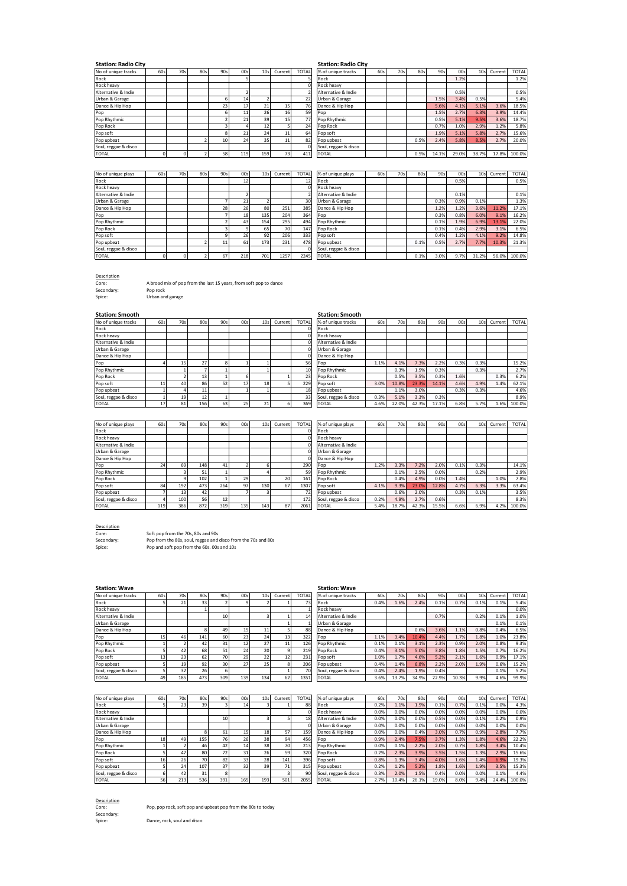| <b>Station: Radio City</b> |     |     |     |     |                      |                 |         |        | <b>Station: Radio City</b> |     |     |         |      |      |                 |           |              |
|----------------------------|-----|-----|-----|-----|----------------------|-----------------|---------|--------|----------------------------|-----|-----|---------|------|------|-----------------|-----------|--------------|
| No of unique tracks        | 60s | 70s | 80s | 90s | 00s                  | 10 <sub>s</sub> | Current | TOTAL. | % of unique tracks         | 60s | 70s | 80s     | 90s  | 00s  | 10 <sub>S</sub> | Current   | <b>TOTAL</b> |
| Rock                       |     |     |     |     |                      |                 |         |        | Rock                       |     |     |         |      | 1.2% |                 |           | 1.2%         |
| Rock heavy                 |     |     |     |     |                      |                 |         |        | <b>Rock heavy</b>          |     |     |         |      |      |                 |           |              |
| Alternative & Indie        |     |     |     |     |                      |                 |         |        | Alternative & Indie        |     |     |         |      | 0.5% |                 |           | 0.5%         |
| Urban & Garage             |     |     |     | 6   | 14                   |                 |         | 22     | Urban & Garage             |     |     |         | 1.5% | 3.4% | 0.5%            |           | 5.4%         |
| Dance & Hip Hop            |     |     |     | 23  | 17                   | 21              |         | 76     | Dance & Hip Hop            |     |     |         | 5.6% | 4.1% | 5.1%            | 3.6%      | 18.5%        |
| Pop                        |     |     |     | ь   | 11                   | 26              | 16      | 59     | Pop                        |     |     |         | 1.5% | 2.7% | 6.3%            | 3.9%      | 14.4%        |
| Pop Rhythmic               |     |     |     |     | 21                   | 39              |         | 77     | Pop Rhythmic               |     |     |         | 0.5% | 5.1% | 9.5%            | 3.6%      | 18.7%        |
| Pop Rock                   |     |     |     |     |                      |                 |         | 24     | Pop Rock                   |     |     |         | 0.7% | 1.0% | 2.9%            | 1.2%      | 5.8%         |
| Pop soft                   |     |     |     |     | 21                   | 24              |         | 64     | Pop soft                   |     |     |         | 1.9% | 5.1% | 5.8%            | 2.7%      | 15.6%        |
| Pop upbeat                 |     |     |     | 10  | 24                   | 35              |         | 82     | Pop upbeat                 |     |     | 0.5%    | 2.4% | 5.8% | 8.5%            | 2.7%      | 20.0%        |
| Soul, reggae & disco       |     |     |     |     |                      |                 |         |        | Soul, reggae & disco       |     |     |         |      |      |                 |           |              |
|                            |     | . . |     | $-$ | $\sim$ $\sim$ $\sim$ | $- - -$         | --      | .      |                            |     |     | $- - -$ | .    | ---- | -----           | $- - - -$ | ------       |

**Station: Radio City Station: Radio City**

| .                    |     |     |     |                 |     |                 |                 |              | .                    |     |     |      |       |       |                 |         |              |
|----------------------|-----|-----|-----|-----------------|-----|-----------------|-----------------|--------------|----------------------|-----|-----|------|-------|-------|-----------------|---------|--------------|
| No of unique tracks  | 60s | 70s | 80s | 90s             | 00s | 10 <sub>s</sub> | Current         | <b>TOTAL</b> | % of unique tracks   | 60s | 70s | 80s  | 90s   | 00s   | 10 <sub>s</sub> | Current | <b>TOTAL</b> |
| Rock                 |     |     |     |                 |     |                 |                 |              | Rock                 |     |     |      |       | 1.2%  |                 |         | 1.2%         |
| Rock heavy           |     |     |     |                 |     |                 |                 |              | Rock heavy           |     |     |      |       |       |                 |         |              |
| Alternative & Indie  |     |     |     |                 |     |                 |                 |              | Alternative & Indie  |     |     |      |       | 0.5%  |                 |         | 0.5%         |
| Urban & Garage       |     |     |     |                 | 14  |                 |                 | 22           | Urban & Garage       |     |     |      | 1.5%  | 3.4%  | 0.5%            |         | 5.4%         |
| Dance & Hip Hop      |     |     |     | 23              | 17  | 21              | 15              | 76           | Dance & Hip Hop      |     |     |      | 5.6%  | 4.1%  | 5.1%            | 3.6%    | 18.5%        |
| Pop                  |     |     |     |                 | 11  | 26              | 16              | 59           | Pop                  |     |     |      | 1.5%  | 2.7%  | 6.3%            | 3.9%    | 14.4%        |
| Pop Rhythmic         |     |     |     |                 | 21  | 39              | 15 <sub>1</sub> | 77           | Pop Rhythmic         |     |     |      | 0.5%  | 5.1%  | 9.5%            | 3.6%    | 18.7%        |
| Pop Rock             |     |     |     |                 |     | 12              |                 | 24           | Pop Rock             |     |     |      | 0.7%  | 1.0%  | 2.9%            | 1.2%    | 5.8%         |
| Pop soft             |     |     |     |                 | 21  | 24              | 11              | 64           | Pop soft             |     |     |      | 1.9%  | 5.1%  | 5.8%            | 2.7%    | 15.6%        |
| Pop upbeat           |     |     |     | 10 <sup>1</sup> | 24  | 35              | 11              | 82           | Pop upbeat           |     |     | 0.5% | 2.4%  | 5.8%  | 8.5%            | 2.7%    | 20.0%        |
| Soul, reggae & disco |     |     |     |                 |     |                 |                 |              | Soul, reggae & disco |     |     |      |       |       |                 |         |              |
| <b>TOTAL</b>         |     |     |     | 58              | 119 | 159             | 73              | 411          | <b>TOTAL</b>         |     |     | 0.5% | 14.1% | 29.0% | 38.7%           | 17.8%   | 100.0%       |
|                      |     |     |     |                 |     |                 |                 |              |                      |     |     |      |       |       |                 |         |              |

| No of unique plays   | 60s | 70s | 80s | 90s | OO <sub>S</sub> | 10 <sub>s</sub> | Current | <b>TOTAL</b> | % of unique plays    | 60s | 70s | 80s  | 90sl | 00s  | 10 <sub>S</sub> | Current | <b>TOTAL</b> |
|----------------------|-----|-----|-----|-----|-----------------|-----------------|---------|--------------|----------------------|-----|-----|------|------|------|-----------------|---------|--------------|
| Rock                 |     |     |     |     | 12              |                 |         | 12           | Rock                 |     |     |      |      | 0.5% |                 |         | 0.5%         |
| Rock heavy           |     |     |     |     |                 |                 |         |              | <b>Rock heavy</b>    |     |     |      |      |      |                 |         |              |
| Alternative & Indie  |     |     |     |     |                 |                 |         |              | Alternative & Indie  |     |     |      |      | 0.1% |                 |         | 0.1%         |
| Urban & Garage       |     |     |     |     | 21              |                 |         | 30           | Urban & Garage       |     |     |      | 0.3% | 0.9% | 0.1%            |         | 1.3%         |
| Dance & Hip Hop      |     |     |     | 28  | 26              | 80              | 251     | 385          | Dance & Hip Hop      |     |     |      | 1.2% | 1.2% | 3.6%            | 11.2%   | 17.1%        |
| Pop                  |     |     |     |     | 18              | 135             | 204     | 364          | Pop                  |     |     |      | 0.3% | 0.8% | 6.0%            | 9.1%    | 16.2%        |
| Pop Rhythmic         |     |     |     |     | 43              | 154             | 295     | 494          | Pop Rhythmic         |     |     |      | 0.1% | 1.9% | 6.9%            | 13.1%   | 22.0%        |
| Pop Rock             |     |     |     |     |                 | 65              | 70      | 147          | Pop Rock             |     |     |      | 0.1% | 0.4% | 2.9%            | 3.1%    | 6.5%         |
| Pop soft             |     |     |     | ٩   | 26              | 92              | 206     | 333          | Pop soft             |     |     |      | 0.4% | 1.2% | 4.1%            | 9.2%    | 14.8%        |
| Pop upbeat           |     |     |     | 11  | 61              | 173             | 231     | 478          | Pop upbeat           |     |     | 0.1% | 0.5% | 2.7% | 7.7%            | 10.3%   | 21.3%        |
| Soul, reggae & disco |     |     |     |     |                 |                 |         |              | Soul, reggae & disco |     |     |      |      |      |                 |         |              |
| <b>TOTAL</b>         |     |     |     | 67  | 218             | 701             | 1257    | 2245         | <b>TOTAL</b>         |     |     | 0.1% | 3.0% | 9.7% | 31.2%           | 56.0%   | 100.0%       |

Description Core: A broad mix of pop from the last 15 years, from soft pop to dance

Secondary: Pop rock

Spice: Urban and garage

| <b>Station: Smooth</b> |     |     |     |     |      |     |         |              | <b>Station: Smooth</b> |      |       |       |       |      |                 |         |              |
|------------------------|-----|-----|-----|-----|------|-----|---------|--------------|------------------------|------|-------|-------|-------|------|-----------------|---------|--------------|
| No of unique tracks    | 60s | 70s | 80s | 90s | 00sl | 10s | Current | <b>TOTAL</b> | % of unique tracks     | 60s  | 70s   | 80s   | 90s   | 00s  | 10 <sub>s</sub> | Current | <b>TOTAL</b> |
| Rock                   |     |     |     |     |      |     |         |              | Rock                   |      |       |       |       |      |                 |         |              |
| Rock heavy             |     |     |     |     |      |     |         |              | Rock heavy             |      |       |       |       |      |                 |         |              |
| Alternative & Indie    |     |     |     |     |      |     |         |              | Alternative & Indie    |      |       |       |       |      |                 |         |              |
| Urban & Garage         |     |     |     |     |      |     |         |              | Urban & Garage         |      |       |       |       |      |                 |         |              |
| Dance & Hip Hop        |     |     |     |     |      |     |         |              | Dance & Hip Hop        |      |       |       |       |      |                 |         |              |
| Pop                    |     | 15  | 27  |     |      |     |         | 56           | Pop                    | 1.1% | 4.1%  | 7.3%  | 2.2%  | 0.3% | 0.3%            |         | 15.2%        |
| Pop Rhythmic           |     |     |     |     |      |     |         | 10           | Pop Rhythmic           |      | 0.3%  | 1.9%  | 0.3%  |      | 0.3%            |         | 2.7%         |
| Pop Rock               |     |     | 13  |     | h    |     |         | 23           | Pop Rock               |      | 0.5%  | 3.5%  | 0.3%  | 1.6% |                 | 0.3%    | 6.2%         |
| Pop soft               | 11  | 40  | 86  | 52  | 17   | 18  |         | 229          | Pop soft               | 3.0% | 10.8% | 23.3% | 14.1% | 4.6% | 4.9%            | 1.4%    | 62.1%        |
| Pop upbeat             |     |     | 11  |     |      |     |         | 18           | Pop upbeat             |      | 1.1%  | 3.0%  |       | 0.3% | 0.3%            |         | 4.6%         |
| Soul, reggae & disco   |     | 19  | 12  |     |      |     |         | 33           | Soul, reggae & disco   | 0.3% | 5.1%  | 3.3%  | 0.3%  |      |                 |         | 8.9%         |
| <b>TOTAL</b>           | 17  | 81  | 156 | 63  | 25   | 21  |         | 369          | <b>TOTAL</b>           | 4.6% | 22.0% | 42.3% | 17.1% | 6.8% | 5.7%            | 1.6%    | 100.0%       |

| No of unique plays   | 60s        | 70s | 80s | 90s | 00s | 10 <sub>s</sub> | Current | <b>TOTAL</b> | % of unique plays    | 60s  | 70s   | 80s   | 90s   | 00s  | 10 <sub>s</sub> | Current | <b>TOTAL</b> |
|----------------------|------------|-----|-----|-----|-----|-----------------|---------|--------------|----------------------|------|-------|-------|-------|------|-----------------|---------|--------------|
| Rock                 |            |     |     |     |     |                 |         |              | Rock                 |      |       |       |       |      |                 |         |              |
| Rock heavy           |            |     |     |     |     |                 |         |              | Rock heavy           |      |       |       |       |      |                 |         |              |
| Alternative & Indie  |            |     |     |     |     |                 |         |              | Alternative & Indie  |      |       |       |       |      |                 |         |              |
| Urban & Garage       |            |     |     |     |     |                 |         |              | Urban & Garage       |      |       |       |       |      |                 |         |              |
| Dance & Hip Hop      |            |     |     |     |     |                 |         |              | Dance & Hip Hop      |      |       |       |       |      |                 |         |              |
| Pop                  | 24         | 69  | 148 | 41  |     |                 |         | 290          | Pop                  | 1.2% | 3.3%  | 7.2%  | 2.0%  | 0.1% | 0.3%            |         | 14.1%        |
| Pop Rhythmic         |            |     | 51  |     |     |                 |         | 59           | Pop Rhythmic         |      | 0.1%  | 2.5%  | 0.0%  |      | 0.2%            |         | 2.9%         |
| Pop Rock             |            |     | 102 |     | 29  |                 | 20      | 161          | Pop Rock             |      | 0.4%  | 4.9%  | 0.0%  | 1.4% |                 | 1.0%    | 7.8%         |
| Pop soft             | 84         | 192 | 473 | 264 | 97  | 130             | 67      | 1307         | Pop soft             | 4.1% | 9.3%  | 23.0% | 12.8% | 4.7% | 6.3%            | 3.3%    | 63.4%        |
| Pop upbeat           |            | 13  | 42  |     |     |                 |         | 72           | Pop upbeat           |      | 0.6%  | 2.0%  |       | 0.3% | 0.1%            |         | 3.5%         |
| Soul, reggae & disco |            | 100 | 56  | 12  |     |                 |         | 172          | Soul, reggae & disco | 0.2% | 4.9%  | 2.7%  | 0.6%  |      |                 |         | 8.3%         |
| <b>TOTAL</b>         | <b>119</b> | 386 | 872 | 319 | 135 | 143             | 87      | 2061         | TOTAL                | 5.4% | 18.7% | 42.3% | 15.5% | 6.6% | 6.9%            | 4.2%    | 100.0%       |

Description<br>Core:<br>Secondary:

Core: Soft pop from the 70s, 80s and 90s Secondary: Pop from the 80s, soul, reggae and disco from the 70s and 80s Spice: Pop and soft pop from the 60s. 00s and 10s

**Station: Wave**<br> **No of unique tracks Station: Wave**<br> **Station: Wave**<br> **Station: Wave**<br> **Station: Wave**<br> **Station: Wave**<br> **Station: Wave**<br> **Station: Wave**<br> **Station: Wave** 

#### No of unique tracks | 60s| 70s| 80s| 90s| 00s| 10s|Current|TOTAL|% of unique tracks | 60s| 70s| 80s| 90s| 10s|Current|TOTAL| Rock 5 21 33 2 9 2 1 73 Rock 0.4% 1.6% 2.4% 0.1% 0.7% 0.1% 0.1% 5.4% Rock heavy | | | 1 | | | | 1 | 1 | Rock heavy | | | | | | | | | | 0.0%| Alternative & Indie | | | | 10 | 3 1 1 14 Alternative & Indie | | 0.7% | 0.2% 0.1% 1.0% 1.0% Urban & Garage 1 1 Urban & Garage 0.1% 0.1% Dance & Hip Hop | | | 8| 49| 15| 11| 5| 88||Dance & Hip Hop | | | 0.6%| 3.6%| 1.1%| 0.8%| 0.4%| 6.5%| Pop 15 46 141 60 23 24 13 322 Pop 1.1% 3.4% 10.4% 4.4% 1.7% 1.8% 1.0% 23.8% Pop Rhythmic | 1| 2| 42| 31| 12| 27| 11| 126|Pop Rhythmic | 0.1%| 0.1%| 3.1%| 2.3%| 0.9%| 2.0%| 0.8%| 9.3%| Pop Rock 5 | 42 | 68 | 51 | 24 | 20 | 9 | 219 | Pop Rock | 0.4% | 3.1% | 3.8% | 1.8% | 1.5% | 0.7% | 16.2% | Pop soft 13 | 23 | 62 | 70 | 29 | 22 | 12 | 231 | Pop soft 1.0% | 1.7% | 4.6% | 5.2% | 2.1% | 1.6% | 0.9% | 17.1% | Pop upbeat 5 19 92 30 27 25 8 206 Pop upbeat 0.4% 1.4% 6.8% 2.2% 2.0% 1.9% 0.6% 15.2% Soul, reggae & disco | 5| 32| 26| 6| | | 70|Soul, reggae & disco | 0.4%| 2.4%| 1.9%| 0.4%| | | 0.1% 5.2%| TOTAL 49 185 473 309 139 134 62 1351 TOTAL 3.6% 13.7% 34.9% 22.9% 10.3% 9.9% 4.6% 99.9%

| No of unique plays   | 60s | 70s | 80s | 90s. | OOs             | 10 <sub>s</sub> | Current | <b>TOTAL</b> | % of unique plays    | 60s  | 70s   | 80s   | 90s   | OO <sub>S</sub> | 10 <sub>s</sub> | Current | <b>TOTAL</b> |
|----------------------|-----|-----|-----|------|-----------------|-----------------|---------|--------------|----------------------|------|-------|-------|-------|-----------------|-----------------|---------|--------------|
| Rock                 |     |     | 39  |      | 14              |                 |         | 88           | <b>Rock</b>          | 0.2% | 1.1%  | 1.9%  | 0.1%  | 0.7%            | 0.1%            | 0.0%    | 4.3%         |
| Rock heavy           |     |     |     |      |                 |                 |         |              | <b>Rock heavy</b>    | 0.0% | 0.0%  | 0.0%  | 0.0%  | 0.0%            | 0.0%            | 0.0%    | 0.0%         |
| Alternative & Indie  |     |     |     | 10   |                 |                 |         | 18           | Alternative & Indie  | 0.0% | 0.0%  | 0.0%  | 0.5%  | 0.0%            | 0.1%            | 0.2%    | 0.9%         |
| Urban & Garage       |     |     |     |      |                 |                 |         |              | Urban & Garage       | 0.0% | 0.0%  | 0.0%  | 0.0%  | 0.0%            | 0.0%            | 0.0%    | 0.0%         |
| Dance & Hip Hop      |     |     |     | 61   | 15              | 18              | 57      | 159          | Dance & Hip Hop      | 0.0% | 0.0%  | 0.4%  | 3.0%  | 0.7%            | 0.9%            | 2.8%    | 7.7%         |
| Pop                  | 18  | 49  | 155 | 76   | 26              | 38              | 94      | 456          | Pop                  | 0.9% | 2.4%  | 7.5%  | 3.7%  | 1.3%            | 1.8%            | 4.6%    | 22.2%        |
| Pop Rhythmic         |     |     | 46  | 42   | 14              | 38              | 70      | 213          | Pop Rhythmic         | 0.0% | 0.1%  | 2.2%  | 2.0%  | 0.7%            | 1.8%            | 3.4%    | 10.4%        |
| Pop Rock             |     | 47  | 80  | 72   | 31              | 26              | 59      | 320          | Pop Rock             | 0.2% | 2.3%  | 3.9%  | 3.5%  | 1.5%            | 1.3%            | 2.9%    | 15.6%        |
| Pop soft             |     |     | 70  | 82   | 33 <sub>1</sub> | 28              | 141     | 396          | Pop soft             | 0.8% | 1.3%  | 3.4%  | 4.0%  | 1.6%            | 1.4%            | 6.9%    | 19.3%        |
| Pop upbeat           |     | 24  | 107 | 37   | 32              | 39              |         | 315          | Pop upbeat           | 0.2% | 1.2%  | 5.2%  | 1.8%  | 1.6%            | 1.9%            | 3.5%    | 15.3%        |
| Soul, reggae & disco |     | 42  | 31  |      |                 |                 |         | 90           | Soul, reggae & disco | 0.3% | 2.0%  | 1.5%  | 0.4%  | 0.0%            | 0.0%            | 0.1%    | 4.4%         |
| <b>TOTAL</b>         | 56  | 213 | 536 | 391  | 165             | 1931            | 501     | 2055         | <b>TOTAL</b>         | 2.7% | 10.4% | 26.1% | 19.0% | 8.0%            | 9.4%            | 24.4%   | 100.0%       |

**Description** Core:<br>Secondary:

Pop, pop rock, soft pop and upbeat pop from the 80s to today

Dance, rock, soul and disco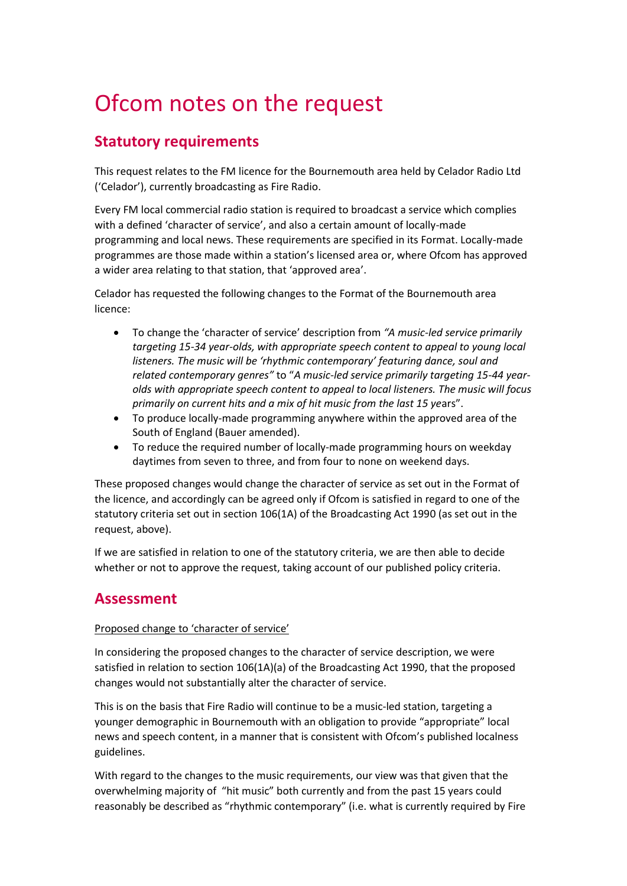# Ofcom notes on the request

## **Statutory requirements**

This request relates to the FM licence for the Bournemouth area held by Celador Radio Ltd ('Celador'), currently broadcasting as Fire Radio.

Every FM local commercial radio station is required to broadcast a service which complies with a defined 'character of service', and also a certain amount of locally-made programming and local news. These requirements are specified in its Format. Locally-made programmes are those made within a station's licensed area or, where Ofcom has approved a wider area relating to that station, that 'approved area'.

Celador has requested the following changes to the Format of the Bournemouth area licence:

- To change the 'character of service' description from *"A music-led service primarily targeting 15-34 year-olds, with appropriate speech content to appeal to young local listeners. The music will be 'rhythmic contemporary' featuring dance, soul and related contemporary genres"* to "*A music-led service primarily targeting 15-44 yearolds with appropriate speech content to appeal to local listeners. The music will focus primarily on current hits and a mix of hit music from the last 15 ye*ars".
- To produce locally-made programming anywhere within the approved area of the South of England (Bauer amended).
- To reduce the required number of locally-made programming hours on weekday daytimes from seven to three, and from four to none on weekend days.

These proposed changes would change the character of service as set out in the Format of the licence, and accordingly can be agreed only if Ofcom is satisfied in regard to one of the statutory criteria set out in section 106(1A) of the Broadcasting Act 1990 (as set out in the request, above).

If we are satisfied in relation to one of the statutory criteria, we are then able to decide whether or not to approve the request, taking account of our published policy criteria.

## **Assessment**

## Proposed change to 'character of service'

In considering the proposed changes to the character of service description, we were satisfied in relation to section 106(1A)(a) of the Broadcasting Act 1990, that the proposed changes would not substantially alter the character of service.

This is on the basis that Fire Radio will continue to be a music-led station, targeting a younger demographic in Bournemouth with an obligation to provide "appropriate" local news and speech content, in a manner that is consistent with Ofcom's published localness guidelines.

With regard to the changes to the music requirements, our view was that given that the overwhelming majority of "hit music" both currently and from the past 15 years could reasonably be described as "rhythmic contemporary" (i.e. what is currently required by Fire